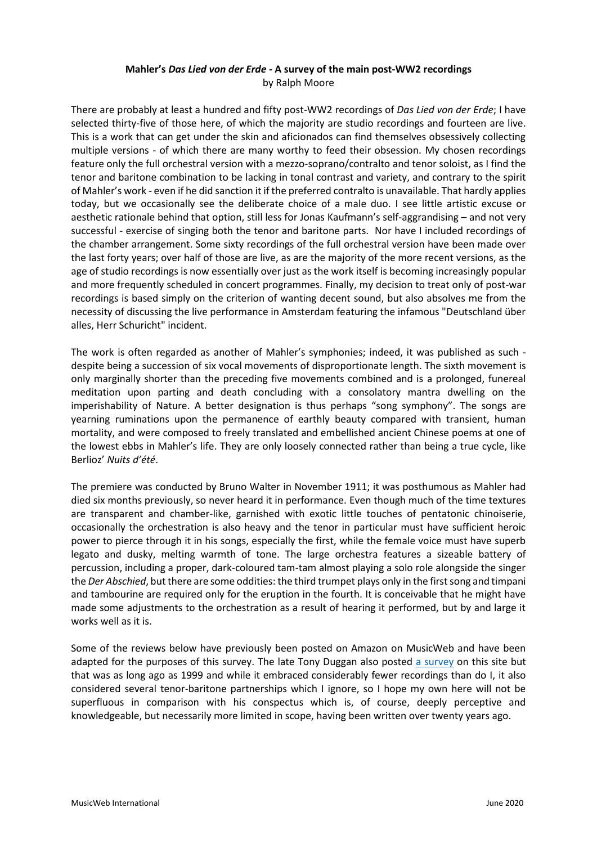## **Mahler's** *Das Lied von der Erde -* **A survey of the main post-WW2 recordings** by Ralph Moore

There are probably at least a hundred and fifty post-WW2 recordings of *Das Lied von der Erde*; I have selected thirty-five of those here, of which the majority are studio recordings and fourteen are live. This is a work that can get under the skin and aficionados can find themselves obsessively collecting multiple versions - of which there are many worthy to feed their obsession. My chosen recordings feature only the full orchestral version with a mezzo-soprano/contralto and tenor soloist, as I find the tenor and baritone combination to be lacking in tonal contrast and variety, and contrary to the spirit of Mahler's work - even if he did sanction it if the preferred contralto is unavailable. That hardly applies today, but we occasionally see the deliberate choice of a male duo. I see little artistic excuse or aesthetic rationale behind that option, still less for Jonas Kaufmann's self-aggrandising – and not very successful - exercise of singing both the tenor and baritone parts. Nor have I included recordings of the chamber arrangement. Some sixty recordings of the full orchestral version have been made over the last forty years; over half of those are live, as are the majority of the more recent versions, as the age of studio recordings is now essentially over just as the work itself is becoming increasingly popular and more frequently scheduled in concert programmes. Finally, my decision to treat only of post-war recordings is based simply on the criterion of wanting decent sound, but also absolves me from the necessity of discussing the live performance in Amsterdam featuring the infamous "Deutschland über alles, Herr Schuricht" incident.

The work is often regarded as another of Mahler's symphonies; indeed, it was published as such despite being a succession of six vocal movements of disproportionate length. The sixth movement is only marginally shorter than the preceding five movements combined and is a prolonged, funereal meditation upon parting and death concluding with a consolatory mantra dwelling on the imperishability of Nature. A better designation is thus perhaps "song symphony". The songs are yearning ruminations upon the permanence of earthly beauty compared with transient, human mortality, and were composed to freely translated and embellished ancient Chinese poems at one of the lowest ebbs in Mahler's life. They are only loosely connected rather than being a true cycle, like Berlioz' *Nuits d'été*.

The premiere was conducted by Bruno Walter in November 1911; it was posthumous as Mahler had died six months previously, so never heard it in performance. Even though much of the time textures are transparent and chamber-like, garnished with exotic little touches of pentatonic chinoiserie, occasionally the orchestration is also heavy and the tenor in particular must have sufficient heroic power to pierce through it in his songs, especially the first, while the female voice must have superb legato and dusky, melting warmth of tone. The large orchestra features a sizeable battery of percussion, including a proper, dark-coloured tam-tam almost playing a solo role alongside the singer the *Der Abschied*, but there are some oddities: the third trumpet plays only in the first song and timpani and tambourine are required only for the eruption in the fourth. It is conceivable that he might have made some adjustments to the orchestration as a result of hearing it performed, but by and large it works well as it is.

Some of the reviews below have previously been posted on Amazon on MusicWeb and have been adapted for the purposes of this survey. The late Tony Duggan also posted [a survey](http://www.musicweb-international.com/Mahler/Daslied.htm) on this site but that was as long ago as 1999 and while it embraced considerably fewer recordings than do I, it also considered several tenor-baritone partnerships which I ignore, so I hope my own here will not be superfluous in comparison with his conspectus which is, of course, deeply perceptive and knowledgeable, but necessarily more limited in scope, having been written over twenty years ago.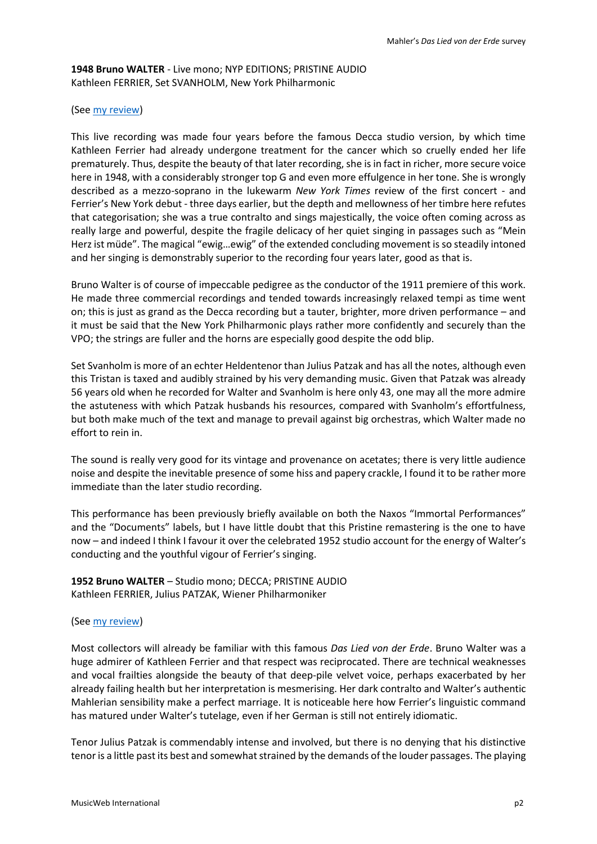**1948 Bruno WALTER** - Live mono; NYP EDITIONS; PRISTINE AUDIO Kathleen FERRIER, Set SVANHOLM, New York Philharmonic

#### (Se[e my review\)](http://www.musicweb-international.com/classrev/2017/Jan/Mahler_erde_PACO137.htm)

This live recording was made four years before the famous Decca studio version, by which time Kathleen Ferrier had already undergone treatment for the cancer which so cruelly ended her life prematurely. Thus, despite the beauty of that later recording, she is in fact in richer, more secure voice here in 1948, with a considerably stronger top G and even more effulgence in her tone. She is wrongly described as a mezzo-soprano in the lukewarm *New York Times* review of the first concert - and Ferrier's New York debut - three days earlier, but the depth and mellowness of her timbre here refutes that categorisation; she was a true contralto and sings majestically, the voice often coming across as really large and powerful, despite the fragile delicacy of her quiet singing in passages such as "Mein Herz ist müde". The magical "ewig…ewig" of the extended concluding movement is so steadily intoned and her singing is demonstrably superior to the recording four years later, good as that is.

Bruno Walter is of course of impeccable pedigree as the conductor of the 1911 premiere of this work. He made three commercial recordings and tended towards increasingly relaxed tempi as time went on; this is just as grand as the Decca recording but a tauter, brighter, more driven performance – and it must be said that the New York Philharmonic plays rather more confidently and securely than the VPO; the strings are fuller and the horns are especially good despite the odd blip.

Set Svanholm is more of an echter Heldentenor than Julius Patzak and has all the notes, although even this Tristan is taxed and audibly strained by his very demanding music. Given that Patzak was already 56 years old when he recorded for Walter and Svanholm is here only 43, one may all the more admire the astuteness with which Patzak husbands his resources, compared with Svanholm's effortfulness, but both make much of the text and manage to prevail against big orchestras, which Walter made no effort to rein in.

The sound is really very good for its vintage and provenance on acetates; there is very little audience noise and despite the inevitable presence of some hiss and papery crackle, I found it to be rather more immediate than the later studio recording.

This performance has been previously briefly available on both the Naxos "Immortal Performances" and the "Documents" labels, but I have little doubt that this Pristine remastering is the one to have now – and indeed I think I favour it over the celebrated 1952 studio account for the energy of Walter's conducting and the youthful vigour of Ferrier's singing.

**1952 Bruno WALTER** – Studio mono; DECCA; PRISTINE AUDIO Kathleen FERRIER, Julius PATZAK, Wiener Philharmoniker

## (Se[e my review\)](http://www.musicweb-international.com/classrev/2012/May12/Ferrier_complete_EMI_9562842.htm)

Most collectors will already be familiar with this famous *Das Lied von der Erde*. Bruno Walter was a huge admirer of Kathleen Ferrier and that respect was reciprocated. There are technical weaknesses and vocal frailties alongside the beauty of that deep-pile velvet voice, perhaps exacerbated by her already failing health but her interpretation is mesmerising. Her dark contralto and Walter's authentic Mahlerian sensibility make a perfect marriage. It is noticeable here how Ferrier's linguistic command has matured under Walter's tutelage, even if her German is still not entirely idiomatic.

Tenor Julius Patzak is commendably intense and involved, but there is no denying that his distinctive tenor is a little past its best and somewhat strained by the demands of the louder passages. The playing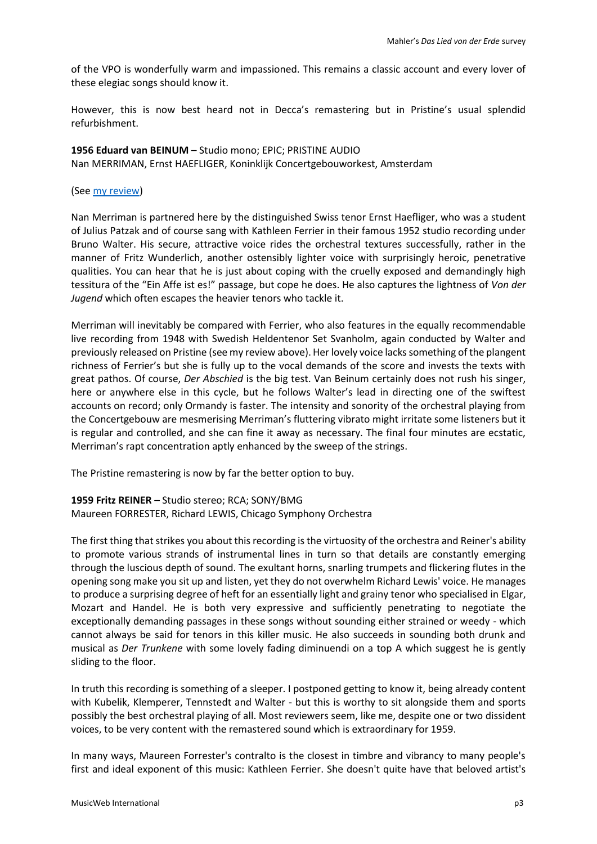of the VPO is wonderfully warm and impassioned. This remains a classic account and every lover of these elegiac songs should know it.

However, this is now best heard not in Decca's remastering but in Pristine's usual splendid refurbishment.

**1956 Eduard van BEINUM** – Studio mono; EPIC; PRISTINE AUDIO Nan MERRIMAN, Ernst HAEFLIGER, Koninklijk Concertgebouworkest, Amsterdam

(Se[e my review\)](http://www.musicweb-international.com/classrev/2017/Aug/Mahler_Beinum_PASC498.htm)

Nan Merriman is partnered here by the distinguished Swiss tenor Ernst Haefliger, who was a student of Julius Patzak and of course sang with Kathleen Ferrier in their famous 1952 studio recording under Bruno Walter. His secure, attractive voice rides the orchestral textures successfully, rather in the manner of Fritz Wunderlich, another ostensibly lighter voice with surprisingly heroic, penetrative qualities. You can hear that he is just about coping with the cruelly exposed and demandingly high tessitura of the "Ein Affe ist es!" passage, but cope he does. He also captures the lightness of *Von der Jugend* which often escapes the heavier tenors who tackle it.

Merriman will inevitably be compared with Ferrier, who also features in the equally recommendable live recording from 1948 with Swedish Heldentenor Set Svanholm, again conducted by Walter and previously released on Pristine (see my review above). Her lovely voice lacks something of the plangent richness of Ferrier's but she is fully up to the vocal demands of the score and invests the texts with great pathos. Of course, *Der Abschied* is the big test. Van Beinum certainly does not rush his singer, here or anywhere else in this cycle, but he follows Walter's lead in directing one of the swiftest accounts on record; only Ormandy is faster. The intensity and sonority of the orchestral playing from the Concertgebouw are mesmerising Merriman's fluttering vibrato might irritate some listeners but it is regular and controlled, and she can fine it away as necessary. The final four minutes are ecstatic, Merriman's rapt concentration aptly enhanced by the sweep of the strings.

The Pristine remastering is now by far the better option to buy.

**1959 Fritz REINER** – Studio stereo; RCA; SONY/BMG

Maureen FORRESTER, Richard LEWIS, Chicago Symphony Orchestra

The first thing that strikes you about this recording is the virtuosity of the orchestra and Reiner's ability to promote various strands of instrumental lines in turn so that details are constantly emerging through the luscious depth of sound. The exultant horns, snarling trumpets and flickering flutes in the opening song make you sit up and listen, yet they do not overwhelm Richard Lewis' voice. He manages to produce a surprising degree of heft for an essentially light and grainy tenor who specialised in Elgar, Mozart and Handel. He is both very expressive and sufficiently penetrating to negotiate the exceptionally demanding passages in these songs without sounding either strained or weedy - which cannot always be said for tenors in this killer music. He also succeeds in sounding both drunk and musical as *Der Trunkene* with some lovely fading diminuendi on a top A which suggest he is gently sliding to the floor.

In truth this recording is something of a sleeper. I postponed getting to know it, being already content with Kubelik, Klemperer, Tennstedt and Walter - but this is worthy to sit alongside them and sports possibly the best orchestral playing of all. Most reviewers seem, like me, despite one or two dissident voices, to be very content with the remastered sound which is extraordinary for 1959.

In many ways, Maureen Forrester's contralto is the closest in timbre and vibrancy to many people's first and ideal exponent of this music: Kathleen Ferrier. She doesn't quite have that beloved artist's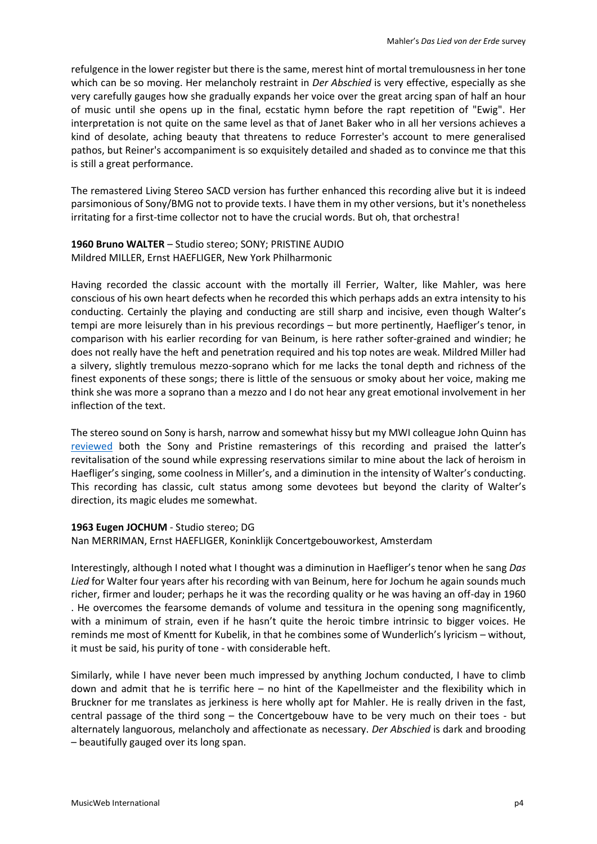refulgence in the lower register but there is the same, merest hint of mortal tremulousness in her tone which can be so moving. Her melancholy restraint in *Der Abschied* is very effective, especially as she very carefully gauges how she gradually expands her voice over the great arcing span of half an hour of music until she opens up in the final, ecstatic hymn before the rapt repetition of "Ewig". Her interpretation is not quite on the same level as that of Janet Baker who in all her versions achieves a kind of desolate, aching beauty that threatens to reduce Forrester's account to mere generalised pathos, but Reiner's accompaniment is so exquisitely detailed and shaded as to convince me that this is still a great performance.

The remastered Living Stereo SACD version has further enhanced this recording alive but it is indeed parsimonious of Sony/BMG not to provide texts. I have them in my other versions, but it's nonetheless irritating for a first-time collector not to have the crucial words. But oh, that orchestra!

## **1960 Bruno WALTER** – Studio stereo; SONY; PRISTINE AUDIO Mildred MILLER, Ernst HAEFLIGER, New York Philharmonic

Having recorded the classic account with the mortally ill Ferrier, Walter, like Mahler, was here conscious of his own heart defects when he recorded this which perhaps adds an extra intensity to his conducting. Certainly the playing and conducting are still sharp and incisive, even though Walter's tempi are more leisurely than in his previous recordings – but more pertinently, Haefliger's tenor, in comparison with his earlier recording for van Beinum, is here rather softer-grained and windier; he does not really have the heft and penetration required and his top notes are weak. Mildred Miller had a silvery, slightly tremulous mezzo-soprano which for me lacks the tonal depth and richness of the finest exponents of these songs; there is little of the sensuous or smoky about her voice, making me think she was more a soprano than a mezzo and I do not hear any great emotional involvement in her inflection of the text.

The stereo sound on Sony is harsh, narrow and somewhat hissy but my MWI colleague John Quinn has [reviewed](http://musicweb-international.com/classrev/2013/Sept13/Mahler_erde_paco094.html) both the Sony and Pristine remasterings of this recording and praised the latter's revitalisation of the sound while expressing reservations similar to mine about the lack of heroism in Haefliger's singing, some coolness in Miller's, and a diminution in the intensity of Walter's conducting. This recording has classic, cult status among some devotees but beyond the clarity of Walter's direction, its magic eludes me somewhat.

## **1963 Eugen JOCHUM** - Studio stereo; DG

Nan MERRIMAN, Ernst HAEFLIGER, Koninklijk Concertgebouworkest, Amsterdam

Interestingly, although I noted what I thought was a diminution in Haefliger's tenor when he sang *Das Lied* for Walter four years after his recording with van Beinum, here for Jochum he again sounds much richer, firmer and louder; perhaps he it was the recording quality or he was having an off-day in 1960 . He overcomes the fearsome demands of volume and tessitura in the opening song magnificently, with a minimum of strain, even if he hasn't quite the heroic timbre intrinsic to bigger voices. He reminds me most of Kmentt for Kubelik, in that he combines some of Wunderlich's lyricism – without, it must be said, his purity of tone - with considerable heft.

Similarly, while I have never been much impressed by anything Jochum conducted, I have to climb down and admit that he is terrific here – no hint of the Kapellmeister and the flexibility which in Bruckner for me translates as jerkiness is here wholly apt for Mahler. He is really driven in the fast, central passage of the third song – the Concertgebouw have to be very much on their toes - but alternately languorous, melancholy and affectionate as necessary. *Der Abschied* is dark and brooding – beautifully gauged over its long span.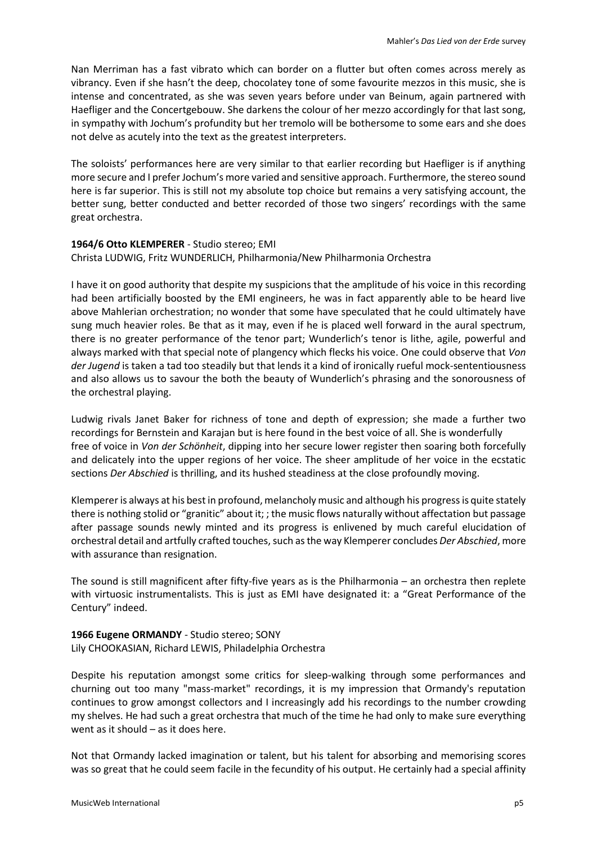Nan Merriman has a fast vibrato which can border on a flutter but often comes across merely as vibrancy. Even if she hasn't the deep, chocolatey tone of some favourite mezzos in this music, she is intense and concentrated, as she was seven years before under van Beinum, again partnered with Haefliger and the Concertgebouw. She darkens the colour of her mezzo accordingly for that last song, in sympathy with Jochum's profundity but her tremolo will be bothersome to some ears and she does not delve as acutely into the text as the greatest interpreters.

The soloists' performances here are very similar to that earlier recording but Haefliger is if anything more secure and I prefer Jochum's more varied and sensitive approach. Furthermore, the stereo sound here is far superior. This is still not my absolute top choice but remains a very satisfying account, the better sung, better conducted and better recorded of those two singers' recordings with the same great orchestra.

## **1964/6 Otto KLEMPERER** - Studio stereo; EMI

Christa LUDWIG, Fritz WUNDERLICH, Philharmonia/New Philharmonia Orchestra

I have it on good authority that despite my suspicions that the amplitude of his voice in this recording had been artificially boosted by the EMI engineers, he was in fact apparently able to be heard live above Mahlerian orchestration; no wonder that some have speculated that he could ultimately have sung much heavier roles. Be that as it may, even if he is placed well forward in the aural spectrum, there is no greater performance of the tenor part; Wunderlich's tenor is lithe, agile, powerful and always marked with that special note of plangency which flecks his voice. One could observe that *Von der Jugend* is taken a tad too steadily but that lends it a kind of ironically rueful mock-sententiousness and also allows us to savour the both the beauty of Wunderlich's phrasing and the sonorousness of the orchestral playing.

Ludwig rivals Janet Baker for richness of tone and depth of expression; she made a further two recordings for Bernstein and Karajan but is here found in the best voice of all. She is wonderfully free of voice in *Von der Schönheit*, dipping into her secure lower register then soaring both forcefully and delicately into the upper regions of her voice. The sheer amplitude of her voice in the ecstatic sections *Der Abschied* is thrilling, and its hushed steadiness at the close profoundly moving.

Klempereris always at his best in profound, melancholy music and although his progress is quite stately there is nothing stolid or "granitic" about it; ; the music flows naturally without affectation but passage after passage sounds newly minted and its progress is enlivened by much careful elucidation of orchestral detail and artfully crafted touches, such as the way Klemperer concludes *Der Abschied*, more with assurance than resignation.

The sound is still magnificent after fifty-five years as is the Philharmonia – an orchestra then replete with virtuosic instrumentalists. This is just as EMI have designated it: a "Great Performance of the Century" indeed.

## **1966 Eugene ORMANDY** - Studio stereo; SONY Lily CHOOKASIAN, Richard LEWIS, Philadelphia Orchestra

Despite his reputation amongst some critics for sleep-walking through some performances and churning out too many "mass-market" recordings, it is my impression that Ormandy's reputation continues to grow amongst collectors and I increasingly add his recordings to the number crowding my shelves. He had such a great orchestra that much of the time he had only to make sure everything went as it should – as it does here.

Not that Ormandy lacked imagination or talent, but his talent for absorbing and memorising scores was so great that he could seem facile in the fecundity of his output. He certainly had a special affinity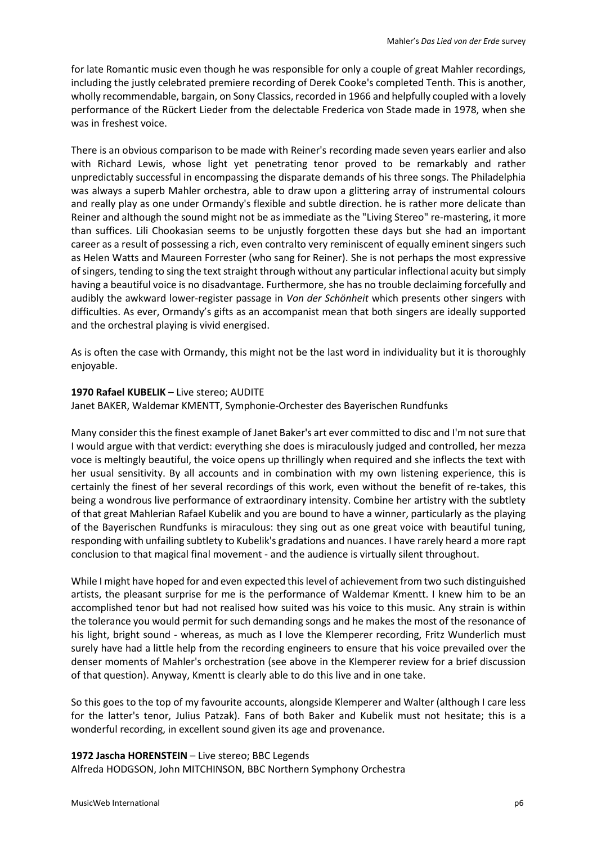for late Romantic music even though he was responsible for only a couple of great Mahler recordings, including the justly celebrated premiere recording of Derek Cooke's completed Tenth. This is another, wholly recommendable, bargain, on Sony Classics, recorded in 1966 and helpfully coupled with a lovely performance of the Rückert Lieder from the delectable Frederica von Stade made in 1978, when she was in freshest voice.

There is an obvious comparison to be made with Reiner's recording made seven years earlier and also with Richard Lewis, whose light yet penetrating tenor proved to be remarkably and rather unpredictably successful in encompassing the disparate demands of his three songs. The Philadelphia was always a superb Mahler orchestra, able to draw upon a glittering array of instrumental colours and really play as one under Ormandy's flexible and subtle direction. he is rather more delicate than Reiner and although the sound might not be as immediate as the "Living Stereo" re-mastering, it more than suffices. Lili Chookasian seems to be unjustly forgotten these days but she had an important career as a result of possessing a rich, even contralto very reminiscent of equally eminent singers such as Helen Watts and Maureen Forrester (who sang for Reiner). She is not perhaps the most expressive of singers, tending to sing the text straight through without any particular inflectional acuity but simply having a beautiful voice is no disadvantage. Furthermore, she has no trouble declaiming forcefully and audibly the awkward lower-register passage in *Von der Schönheit* which presents other singers with difficulties. As ever, Ormandy's gifts as an accompanist mean that both singers are ideally supported and the orchestral playing is vivid energised.

As is often the case with Ormandy, this might not be the last word in individuality but it is thoroughly enjoyable.

#### **1970 Rafael KUBELIK** – Live stereo; AUDITE

Janet BAKER, Waldemar KMENTT, Symphonie-Orchester des Bayerischen Rundfunks

Many consider this the finest example of Janet Baker's art ever committed to disc and I'm not sure that I would argue with that verdict: everything she does is miraculously judged and controlled, her mezza voce is meltingly beautiful, the voice opens up thrillingly when required and she inflects the text with her usual sensitivity. By all accounts and in combination with my own listening experience, this is certainly the finest of her several recordings of this work, even without the benefit of re-takes, this being a wondrous live performance of extraordinary intensity. Combine her artistry with the subtlety of that great Mahlerian Rafael Kubelik and you are bound to have a winner, particularly as the playing of the Bayerischen Rundfunks is miraculous: they sing out as one great voice with beautiful tuning, responding with unfailing subtlety to Kubelik's gradations and nuances. I have rarely heard a more rapt conclusion to that magical final movement - and the audience is virtually silent throughout.

While I might have hoped for and even expected this level of achievement from two such distinguished artists, the pleasant surprise for me is the performance of Waldemar Kmentt. I knew him to be an accomplished tenor but had not realised how suited was his voice to this music. Any strain is within the tolerance you would permit for such demanding songs and he makes the most of the resonance of his light, bright sound - whereas, as much as I love the Klemperer recording, Fritz Wunderlich must surely have had a little help from the recording engineers to ensure that his voice prevailed over the denser moments of Mahler's orchestration (see above in the Klemperer review for a brief discussion of that question). Anyway, Kmentt is clearly able to do this live and in one take.

So this goes to the top of my favourite accounts, alongside Klemperer and Walter (although I care less for the latter's tenor, Julius Patzak). Fans of both Baker and Kubelik must not hesitate; this is a wonderful recording, in excellent sound given its age and provenance.

**1972 Jascha HORENSTEIN** – Live stereo; BBC Legends Alfreda HODGSON, John MITCHINSON, BBC Northern Symphony Orchestra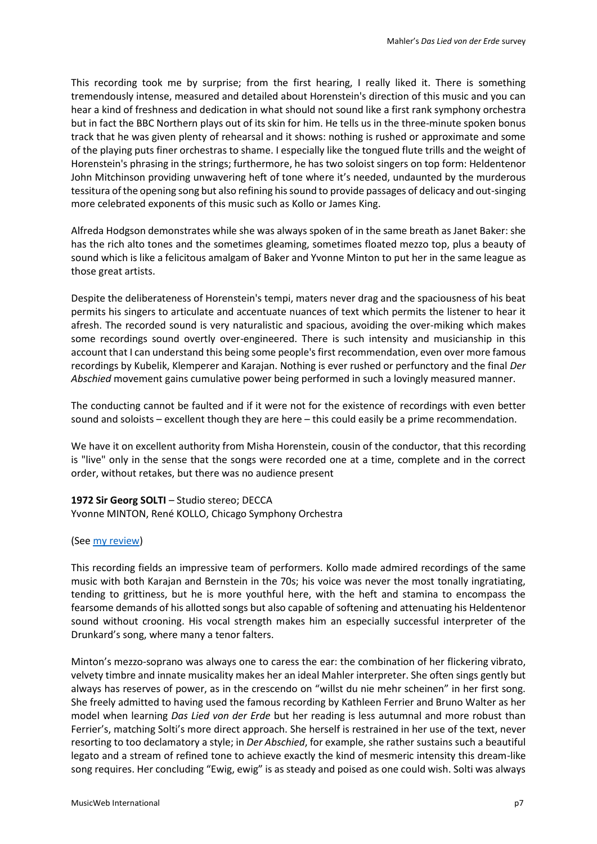This recording took me by surprise; from the first hearing, I really liked it. There is something tremendously intense, measured and detailed about Horenstein's direction of this music and you can hear a kind of freshness and dedication in what should not sound like a first rank symphony orchestra but in fact the BBC Northern plays out of its skin for him. He tells us in the three-minute spoken bonus track that he was given plenty of rehearsal and it shows: nothing is rushed or approximate and some of the playing puts finer orchestras to shame. I especially like the tongued flute trills and the weight of Horenstein's phrasing in the strings; furthermore, he has two soloist singers on top form: Heldentenor John Mitchinson providing unwavering heft of tone where it's needed, undaunted by the murderous tessitura of the opening song but also refining his sound to provide passages of delicacy and out-singing more celebrated exponents of this music such as Kollo or James King.

Alfreda Hodgson demonstrates while she was always spoken of in the same breath as Janet Baker: she has the rich alto tones and the sometimes gleaming, sometimes floated mezzo top, plus a beauty of sound which is like a felicitous amalgam of Baker and Yvonne Minton to put her in the same league as those great artists.

Despite the deliberateness of Horenstein's tempi, maters never drag and the spaciousness of his beat permits his singers to articulate and accentuate nuances of text which permits the listener to hear it afresh. The recorded sound is very naturalistic and spacious, avoiding the over-miking which makes some recordings sound overtly over-engineered. There is such intensity and musicianship in this account that I can understand this being some people's first recommendation, even over more famous recordings by Kubelik, Klemperer and Karajan. Nothing is ever rushed or perfunctory and the final *Der Abschied* movement gains cumulative power being performed in such a lovingly measured manner.

The conducting cannot be faulted and if it were not for the existence of recordings with even better sound and soloists – excellent though they are here – this could easily be a prime recommendation.

We have it on excellent authority from Misha Horenstein, cousin of the conductor, that this recording is "live" only in the sense that the songs were recorded one at a time, complete and in the correct order, without retakes, but there was no audience present

**1972 Sir Georg SOLTI** – Studio stereo; DECCA Yvonne MINTON, René KOLLO, Chicago Symphony Orchestra

# (See <u>my review</u>)

This recording fields an impressive team of performers. Kollo made admired recordings of the same music with both Karajan and Bernstein in the 70s; his voice was never the most tonally ingratiating, tending to grittiness, but he is more youthful here, with the heft and stamina to encompass the fearsome demands of his allotted songs but also capable of softening and attenuating his Heldentenor sound without crooning. His vocal strength makes him an especially successful interpreter of the Drunkard's song, where many a tenor falters.

Minton's mezzo-soprano was always one to caress the ear: the combination of her flickering vibrato, velvety timbre and innate musicality makes her an ideal Mahler interpreter. She often sings gently but always has reserves of power, as in the crescendo on "willst du nie mehr scheinen" in her first song. She freely admitted to having used the famous recording by Kathleen Ferrier and Bruno Walter as her model when learning *Das Lied von der Erde* but her reading is less autumnal and more robust than Ferrier's, matching Solti's more direct approach. She herself is restrained in her use of the text, never resorting to too declamatory a style; in *Der Abschied*, for example, she rather sustains such a beautiful legato and a stream of refined tone to achieve exactly the kind of mesmeric intensity this dream-like song requires. Her concluding "Ewig, ewig" is as steady and poised as one could wish. Solti was always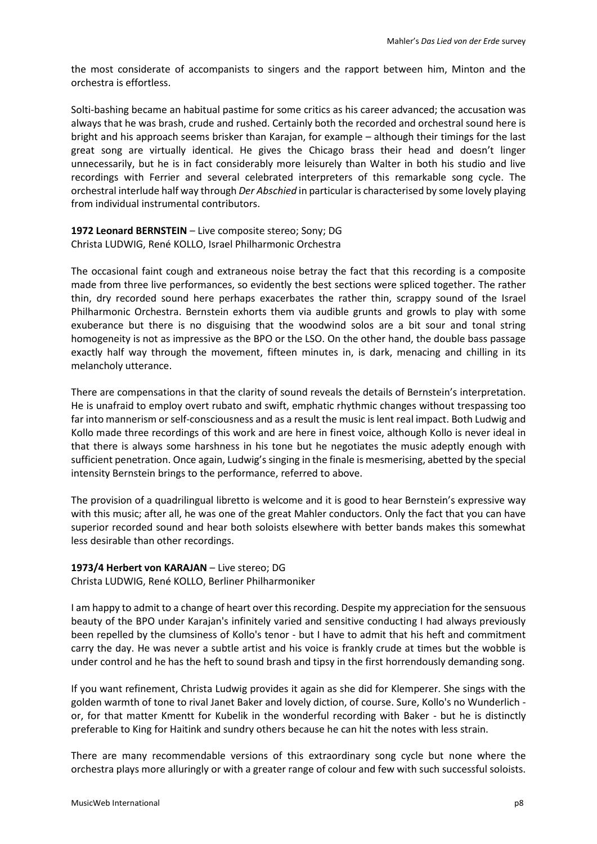the most considerate of accompanists to singers and the rapport between him, Minton and the orchestra is effortless.

Solti-bashing became an habitual pastime for some critics as his career advanced; the accusation was always that he was brash, crude and rushed. Certainly both the recorded and orchestral sound here is bright and his approach seems brisker than Karajan, for example – although their timings for the last great song are virtually identical. He gives the Chicago brass their head and doesn't linger unnecessarily, but he is in fact considerably more leisurely than Walter in both his studio and live recordings with Ferrier and several celebrated interpreters of this remarkable song cycle. The orchestral interlude half way through *Der Abschied* in particular is characterised by some lovely playing from individual instrumental contributors.

**1972 Leonard BERNSTEIN** – Live composite stereo; Sony; DG Christa LUDWIG, René KOLLO, Israel Philharmonic Orchestra

The occasional faint cough and extraneous noise betray the fact that this recording is a composite made from three live performances, so evidently the best sections were spliced together. The rather thin, dry recorded sound here perhaps exacerbates the rather thin, scrappy sound of the Israel Philharmonic Orchestra. Bernstein exhorts them via audible grunts and growls to play with some exuberance but there is no disguising that the woodwind solos are a bit sour and tonal string homogeneity is not as impressive as the BPO or the LSO. On the other hand, the double bass passage exactly half way through the movement, fifteen minutes in, is dark, menacing and chilling in its melancholy utterance.

There are compensations in that the clarity of sound reveals the details of Bernstein's interpretation. He is unafraid to employ overt rubato and swift, emphatic rhythmic changes without trespassing too far into mannerism or self-consciousness and as a result the music is lent real impact. Both Ludwig and Kollo made three recordings of this work and are here in finest voice, although Kollo is never ideal in that there is always some harshness in his tone but he negotiates the music adeptly enough with sufficient penetration. Once again, Ludwig'ssinging in the finale is mesmerising, abetted by the special intensity Bernstein brings to the performance, referred to above.

The provision of a quadrilingual libretto is welcome and it is good to hear Bernstein's expressive way with this music; after all, he was one of the great Mahler conductors. Only the fact that you can have superior recorded sound and hear both soloists elsewhere with better bands makes this somewhat less desirable than other recordings.

## **1973/4 Herbert von KARAJAN** – Live stereo; DG

Christa LUDWIG, René KOLLO, Berliner Philharmoniker

I am happy to admit to a change of heart over this recording. Despite my appreciation for the sensuous beauty of the BPO under Karajan's infinitely varied and sensitive conducting I had always previously been repelled by the clumsiness of Kollo's tenor - but I have to admit that his heft and commitment carry the day. He was never a subtle artist and his voice is frankly crude at times but the wobble is under control and he has the heft to sound brash and tipsy in the first horrendously demanding song.

If you want refinement, Christa Ludwig provides it again as she did for Klemperer. She sings with the golden warmth of tone to rival Janet Baker and lovely diction, of course. Sure, Kollo's no Wunderlich or, for that matter Kmentt for Kubelik in the wonderful recording with Baker - but he is distinctly preferable to King for Haitink and sundry others because he can hit the notes with less strain.

There are many recommendable versions of this extraordinary song cycle but none where the orchestra plays more alluringly or with a greater range of colour and few with such successful soloists.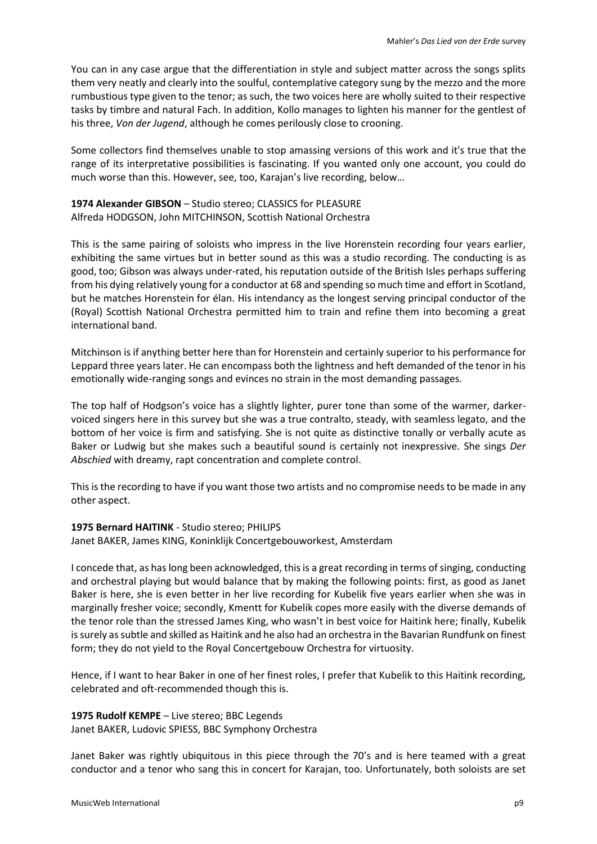You can in any case argue that the differentiation in style and subject matter across the songs splits them very neatly and clearly into the soulful, contemplative category sung by the mezzo and the more rumbustious type given to the tenor; as such, the two voices here are wholly suited to their respective tasks by timbre and natural Fach. In addition, Kollo manages to lighten his manner for the gentlest of his three, *Von der Jugend*, although he comes perilously close to crooning.

Some collectors find themselves unable to stop amassing versions of this work and it's true that the range of its interpretative possibilities is fascinating. If you wanted only one account, you could do much worse than this. However, see, too, Karajan's live recording, below…

## **1974 Alexander GIBSON** – Studio stereo; CLASSICS for PLEASURE Alfreda HODGSON, John MITCHINSON, Scottish National Orchestra

This is the same pairing of soloists who impress in the live Horenstein recording four years earlier, exhibiting the same virtues but in better sound as this was a studio recording. The conducting is as good, too; Gibson was always under-rated, his reputation outside of the British Isles perhaps suffering from his dying relatively young for a conductor at 68 and spending so much time and effort in Scotland, but he matches Horenstein for élan. His intendancy as the longest serving principal conductor of the (Royal) Scottish National Orchestra permitted him to train and refine them into becoming a great international band.

Mitchinson is if anything better here than for Horenstein and certainly superior to his performance for Leppard three years later. He can encompass both the lightness and heft demanded of the tenor in his emotionally wide-ranging songs and evinces no strain in the most demanding passages.

The top half of Hodgson's voice has a slightly lighter, purer tone than some of the warmer, darkervoiced singers here in this survey but she was a true contralto, steady, with seamless legato, and the bottom of her voice is firm and satisfying. She is not quite as distinctive tonally or verbally acute as Baker or Ludwig but she makes such a beautiful sound is certainly not inexpressive. She sings *Der Abschied* with dreamy, rapt concentration and complete control.

This is the recording to have if you want those two artists and no compromise needs to be made in any other aspect.

## **1975 Bernard HAITINK** - Studio stereo; PHILIPS

Janet BAKER, James KING, Koninklijk Concertgebouworkest, Amsterdam

I concede that, as has long been acknowledged, this is a great recording in terms of singing, conducting and orchestral playing but would balance that by making the following points: first, as good as Janet Baker is here, she is even better in her live recording for Kubelik five years earlier when she was in marginally fresher voice; secondly, Kmentt for Kubelik copes more easily with the diverse demands of the tenor role than the stressed James King, who wasn't in best voice for Haitink here; finally, Kubelik is surely as subtle and skilled as Haitink and he also had an orchestra in the Bavarian Rundfunk on finest form; they do not yield to the Royal Concertgebouw Orchestra for virtuosity.

Hence, if I want to hear Baker in one of her finest roles, I prefer that Kubelik to this Haitink recording, celebrated and oft-recommended though this is.

**1975 Rudolf KEMPE** – Live stereo; BBC Legends Janet BAKER, Ludovic SPIESS, BBC Symphony Orchestra

Janet Baker was rightly ubiquitous in this piece through the 70's and is here teamed with a great conductor and a tenor who sang this in concert for Karajan, too. Unfortunately, both soloists are set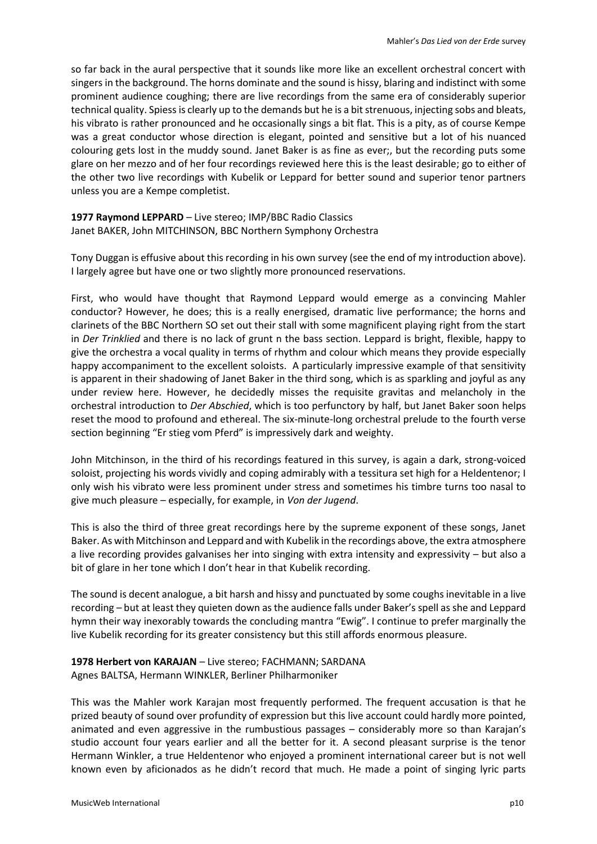so far back in the aural perspective that it sounds like more like an excellent orchestral concert with singers in the background. The horns dominate and the sound is hissy, blaring and indistinct with some prominent audience coughing; there are live recordings from the same era of considerably superior technical quality. Spiess is clearly up to the demands but he is a bit strenuous, injecting sobs and bleats, his vibrato is rather pronounced and he occasionally sings a bit flat. This is a pity, as of course Kempe was a great conductor whose direction is elegant, pointed and sensitive but a lot of his nuanced colouring gets lost in the muddy sound. Janet Baker is as fine as ever;, but the recording puts some glare on her mezzo and of her four recordings reviewed here this is the least desirable; go to either of the other two live recordings with Kubelik or Leppard for better sound and superior tenor partners unless you are a Kempe completist.

## **1977 Raymond LEPPARD** – Live stereo; IMP/BBC Radio Classics Janet BAKER, John MITCHINSON, BBC Northern Symphony Orchestra

Tony Duggan is effusive about this recording in his own survey (see the end of my introduction above). I largely agree but have one or two slightly more pronounced reservations.

First, who would have thought that Raymond Leppard would emerge as a convincing Mahler conductor? However, he does; this is a really energised, dramatic live performance; the horns and clarinets of the BBC Northern SO set out their stall with some magnificent playing right from the start in *Der Trinklied* and there is no lack of grunt n the bass section. Leppard is bright, flexible, happy to give the orchestra a vocal quality in terms of rhythm and colour which means they provide especially happy accompaniment to the excellent soloists. A particularly impressive example of that sensitivity is apparent in their shadowing of Janet Baker in the third song, which is as sparkling and joyful as any under review here. However, he decidedly misses the requisite gravitas and melancholy in the orchestral introduction to *Der Abschied*, which is too perfunctory by half, but Janet Baker soon helps reset the mood to profound and ethereal. The six-minute-long orchestral prelude to the fourth verse section beginning "Er stieg vom Pferd" is impressively dark and weighty.

John Mitchinson, in the third of his recordings featured in this survey, is again a dark, strong-voiced soloist, projecting his words vividly and coping admirably with a tessitura set high for a Heldentenor; I only wish his vibrato were less prominent under stress and sometimes his timbre turns too nasal to give much pleasure – especially, for example, in *Von der Jugend*.

This is also the third of three great recordings here by the supreme exponent of these songs, Janet Baker. As with Mitchinson and Leppard and with Kubelik in the recordings above, the extra atmosphere a live recording provides galvanises her into singing with extra intensity and expressivity – but also a bit of glare in her tone which I don't hear in that Kubelik recording.

The sound is decent analogue, a bit harsh and hissy and punctuated by some coughs inevitable in a live recording – but at least they quieten down as the audience falls under Baker's spell as she and Leppard hymn their way inexorably towards the concluding mantra "Ewig". I continue to prefer marginally the live Kubelik recording for its greater consistency but this still affords enormous pleasure.

## **1978 Herbert von KARAJAN** – Live stereo; FACHMANN; SARDANA Agnes BALTSA, Hermann WINKLER, Berliner Philharmoniker

This was the Mahler work Karajan most frequently performed. The frequent accusation is that he prized beauty of sound over profundity of expression but this live account could hardly more pointed, animated and even aggressive in the rumbustious passages – considerably more so than Karajan's studio account four years earlier and all the better for it. A second pleasant surprise is the tenor Hermann Winkler, a true Heldentenor who enjoyed a prominent international career but is not well known even by aficionados as he didn't record that much. He made a point of singing lyric parts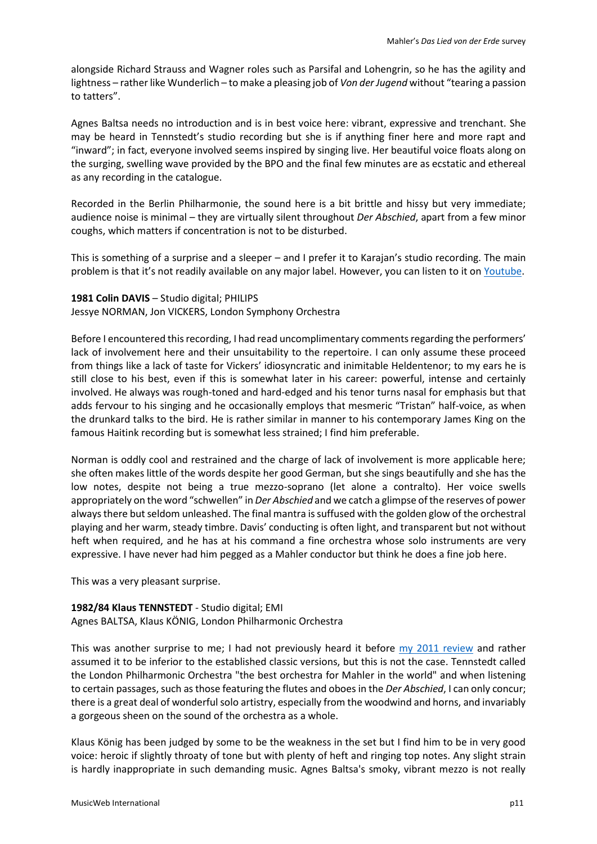alongside Richard Strauss and Wagner roles such as Parsifal and Lohengrin, so he has the agility and lightness – rather like Wunderlich – to make a pleasing job of *Von der Jugend* without "tearing a passion to tatters".

Agnes Baltsa needs no introduction and is in best voice here: vibrant, expressive and trenchant. She may be heard in Tennstedt's studio recording but she is if anything finer here and more rapt and "inward"; in fact, everyone involved seems inspired by singing live. Her beautiful voice floats along on the surging, swelling wave provided by the BPO and the final few minutes are as ecstatic and ethereal as any recording in the catalogue.

Recorded in the Berlin Philharmonie, the sound here is a bit brittle and hissy but very immediate; audience noise is minimal – they are virtually silent throughout *Der Abschied*, apart from a few minor coughs, which matters if concentration is not to be disturbed.

This is something of a surprise and a sleeper – and I prefer it to Karajan's studio recording. The main problem is that it's not readily available on any major label. However, you can listen to it o[n Youtube.](https://www.youtube.com/watch?v=aoKv0VZLkUU)

## **1981 Colin DAVIS** – Studio digital; PHILIPS

## Jessye NORMAN, Jon VICKERS, London Symphony Orchestra

Before I encountered this recording, I had read uncomplimentary comments regarding the performers' lack of involvement here and their unsuitability to the repertoire. I can only assume these proceed from things like a lack of taste for Vickers' idiosyncratic and inimitable Heldentenor; to my ears he is still close to his best, even if this is somewhat later in his career: powerful, intense and certainly involved. He always was rough-toned and hard-edged and his tenor turns nasal for emphasis but that adds fervour to his singing and he occasionally employs that mesmeric "Tristan" half-voice, as when the drunkard talks to the bird. He is rather similar in manner to his contemporary James King on the famous Haitink recording but is somewhat less strained; I find him preferable.

Norman is oddly cool and restrained and the charge of lack of involvement is more applicable here; she often makes little of the words despite her good German, but she sings beautifully and she has the low notes, despite not being a true mezzo-soprano (let alone a contralto). Her voice swells appropriately on the word "schwellen" in *Der Abschied* and we catch a glimpse of the reserves of power always there but seldom unleashed. The final mantra is suffused with the golden glow of the orchestral playing and her warm, steady timbre. Davis' conducting is often light, and transparent but not without heft when required, and he has at his command a fine orchestra whose solo instruments are very expressive. I have never had him pegged as a Mahler conductor but think he does a fine job here.

This was a very pleasant surprise.

## **1982/84 Klaus TENNSTEDT** - Studio digital; EMI

## Agnes BALTSA, Klaus KÖNIG, London Philharmonic Orchestra

This was another surprise to me; I had not previously heard it before [my 2011 review](http://www.musicweb-international.com/classrev/2011/Aug11/Mahler_Tennstedt_0944932.htm) and rather assumed it to be inferior to the established classic versions, but this is not the case. Tennstedt called the London Philharmonic Orchestra "the best orchestra for Mahler in the world" and when listening to certain passages, such as those featuring the flutes and oboes in the *Der Abschied*, I can only concur; there is a great deal of wonderful solo artistry, especially from the woodwind and horns, and invariably a gorgeous sheen on the sound of the orchestra as a whole.

Klaus König has been judged by some to be the weakness in the set but I find him to be in very good voice: heroic if slightly throaty of tone but with plenty of heft and ringing top notes. Any slight strain is hardly inappropriate in such demanding music. Agnes Baltsa's smoky, vibrant mezzo is not really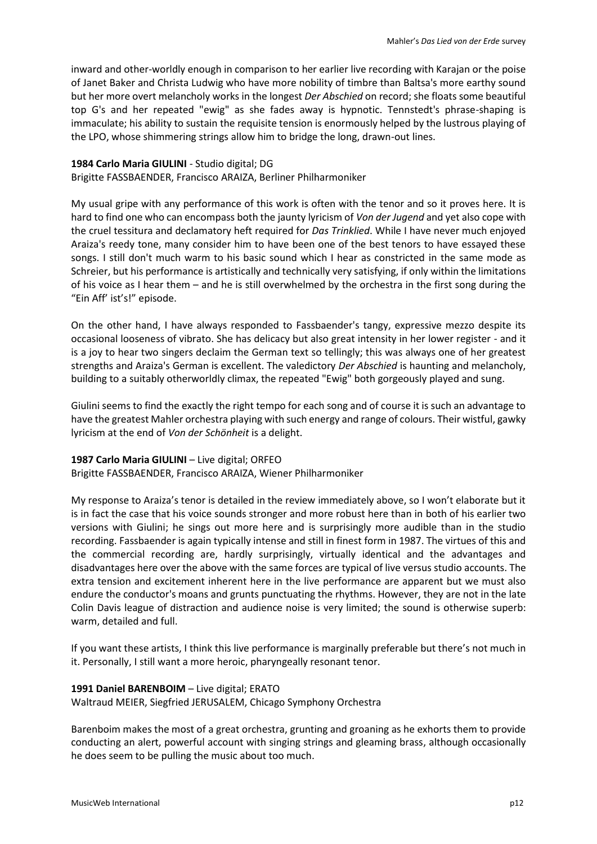inward and other-worldly enough in comparison to her earlier live recording with Karajan or the poise of Janet Baker and Christa Ludwig who have more nobility of timbre than Baltsa's more earthy sound but her more overt melancholy works in the longest *Der Abschied* on record; she floats some beautiful top G's and her repeated "ewig" as she fades away is hypnotic. Tennstedt's phrase-shaping is immaculate; his ability to sustain the requisite tension is enormously helped by the lustrous playing of the LPO, whose shimmering strings allow him to bridge the long, drawn-out lines.

#### **1984 Carlo Maria GIULINI** - Studio digital; DG

Brigitte FASSBAENDER, Francisco ARAIZA, Berliner Philharmoniker

My usual gripe with any performance of this work is often with the tenor and so it proves here. It is hard to find one who can encompass both the jaunty lyricism of *Von der Jugend* and yet also cope with the cruel tessitura and declamatory heft required for *Das Trinklied*. While I have never much enjoyed Araiza's reedy tone, many consider him to have been one of the best tenors to have essayed these songs. I still don't much warm to his basic sound which I hear as constricted in the same mode as Schreier, but his performance is artistically and technically very satisfying, if only within the limitations of his voice as I hear them – and he is still overwhelmed by the orchestra in the first song during the "Ein Aff' ist's!" episode.

On the other hand, I have always responded to Fassbaender's tangy, expressive mezzo despite its occasional looseness of vibrato. She has delicacy but also great intensity in her lower register - and it is a joy to hear two singers declaim the German text so tellingly; this was always one of her greatest strengths and Araiza's German is excellent. The valedictory *Der Abschied* is haunting and melancholy, building to a suitably otherworldly climax, the repeated "Ewig" both gorgeously played and sung.

Giulini seems to find the exactly the right tempo for each song and of course it is such an advantage to have the greatest Mahler orchestra playing with such energy and range of colours. Their wistful, gawky lyricism at the end of *Von der Schönheit* is a delight.

## **1987 Carlo Maria GIULINI** – Live digital; ORFEO

Brigitte FASSBAENDER, Francisco ARAIZA, Wiener Philharmoniker

My response to Araiza's tenor is detailed in the review immediately above, so I won't elaborate but it is in fact the case that his voice sounds stronger and more robust here than in both of his earlier two versions with Giulini; he sings out more here and is surprisingly more audible than in the studio recording. Fassbaender is again typically intense and still in finest form in 1987. The virtues of this and the commercial recording are, hardly surprisingly, virtually identical and the advantages and disadvantages here over the above with the same forces are typical of live versus studio accounts. The extra tension and excitement inherent here in the live performance are apparent but we must also endure the conductor's moans and grunts punctuating the rhythms. However, they are not in the late Colin Davis league of distraction and audience noise is very limited; the sound is otherwise superb: warm, detailed and full.

If you want these artists, I think this live performance is marginally preferable but there's not much in it. Personally, I still want a more heroic, pharyngeally resonant tenor.

## **1991 Daniel BARENBOIM** – Live digital; ERATO

Waltraud MEIER, Siegfried JERUSALEM, Chicago Symphony Orchestra

Barenboim makes the most of a great orchestra, grunting and groaning as he exhorts them to provide conducting an alert, powerful account with singing strings and gleaming brass, although occasionally he does seem to be pulling the music about too much.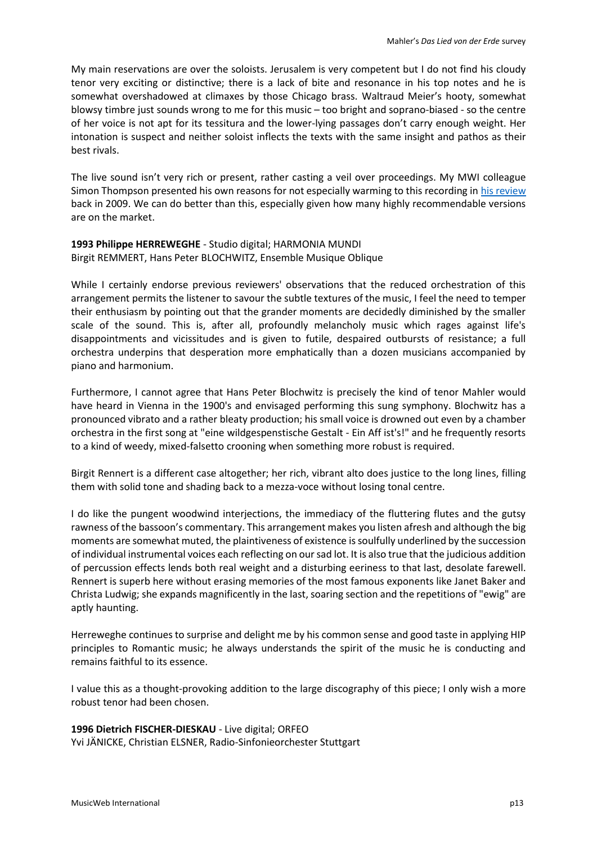My main reservations are over the soloists. Jerusalem is very competent but I do not find his cloudy tenor very exciting or distinctive; there is a lack of bite and resonance in his top notes and he is somewhat overshadowed at climaxes by those Chicago brass. Waltraud Meier's hooty, somewhat blowsy timbre just sounds wrong to me for this music – too bright and soprano-biased - so the centre of her voice is not apt for its tessitura and the lower-lying passages don't carry enough weight. Her intonation is suspect and neither soloist inflects the texts with the same insight and pathos as their best rivals.

The live sound isn't very rich or present, rather casting a veil over proceedings. My MWI colleague Simon Thompson presented his own reasons for not especially warming to this recording i[n his review](http://www.musicweb-international.com/classrev/2009/sept09/Mahler_Das_Lied_2564689747.htm) back in 2009. We can do better than this, especially given how many highly recommendable versions are on the market.

## **1993 Philippe HERREWEGHE** - Studio digital; HARMONIA MUNDI Birgit REMMERT, Hans Peter BLOCHWITZ, Ensemble Musique Oblique

While I certainly endorse previous reviewers' observations that the reduced orchestration of this arrangement permits the listener to savour the subtle textures of the music, I feel the need to temper their enthusiasm by pointing out that the grander moments are decidedly diminished by the smaller scale of the sound. This is, after all, profoundly melancholy music which rages against life's disappointments and vicissitudes and is given to futile, despaired outbursts of resistance; a full orchestra underpins that desperation more emphatically than a dozen musicians accompanied by piano and harmonium.

Furthermore, I cannot agree that Hans Peter Blochwitz is precisely the kind of tenor Mahler would have heard in Vienna in the 1900's and envisaged performing this sung symphony. Blochwitz has a pronounced vibrato and a rather bleaty production; his small voice is drowned out even by a chamber orchestra in the first song at "eine wildgespenstische Gestalt - Ein Aff ist's!" and he frequently resorts to a kind of weedy, mixed-falsetto crooning when something more robust is required.

Birgit Rennert is a different case altogether; her rich, vibrant alto does justice to the long lines, filling them with solid tone and shading back to a mezza-voce without losing tonal centre.

I do like the pungent woodwind interjections, the immediacy of the fluttering flutes and the gutsy rawness of the bassoon's commentary. This arrangement makes you listen afresh and although the big moments are somewhat muted, the plaintiveness of existence is soulfully underlined by the succession of individual instrumental voices each reflecting on our sad lot. It is also true that the judicious addition of percussion effects lends both real weight and a disturbing eeriness to that last, desolate farewell. Rennert is superb here without erasing memories of the most famous exponents like Janet Baker and Christa Ludwig; she expands magnificently in the last, soaring section and the repetitions of "ewig" are aptly haunting.

Herreweghe continues to surprise and delight me by his common sense and good taste in applying HIP principles to Romantic music; he always understands the spirit of the music he is conducting and remains faithful to its essence.

I value this as a thought-provoking addition to the large discography of this piece; I only wish a more robust tenor had been chosen.

## **1996 Dietrich FISCHER-DIESKAU** - Live digital; ORFEO Yvi JÄNICKE, Christian ELSNER, Radio-Sinfonieorchester Stuttgart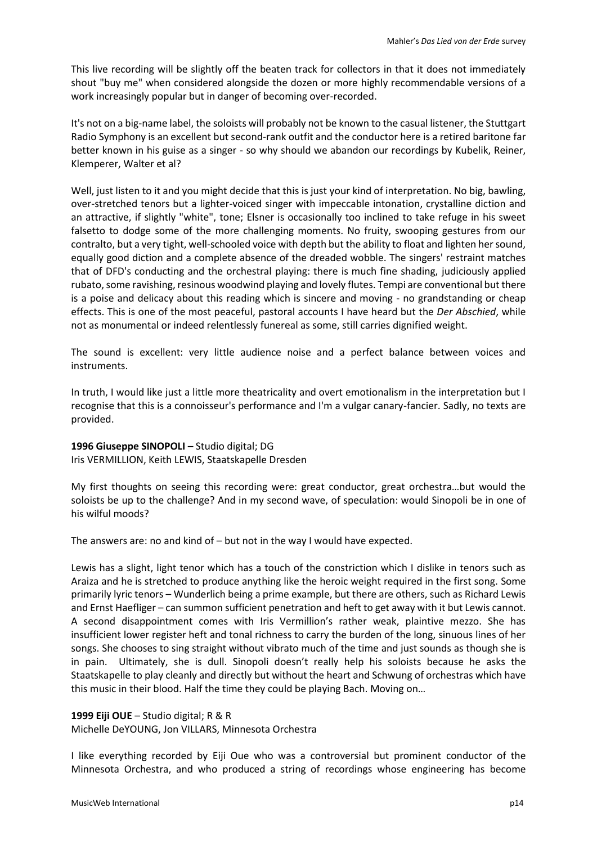This live recording will be slightly off the beaten track for collectors in that it does not immediately shout "buy me" when considered alongside the dozen or more highly recommendable versions of a work increasingly popular but in danger of becoming over-recorded.

It's not on a big-name label, the soloists will probably not be known to the casual listener, the Stuttgart Radio Symphony is an excellent but second-rank outfit and the conductor here is a retired baritone far better known in his guise as a singer - so why should we abandon our recordings by Kubelik, Reiner, Klemperer, Walter et al?

Well, just listen to it and you might decide that this is just your kind of interpretation. No big, bawling, over-stretched tenors but a lighter-voiced singer with impeccable intonation, crystalline diction and an attractive, if slightly "white", tone; Elsner is occasionally too inclined to take refuge in his sweet falsetto to dodge some of the more challenging moments. No fruity, swooping gestures from our contralto, but a very tight, well-schooled voice with depth but the ability to float and lighten her sound, equally good diction and a complete absence of the dreaded wobble. The singers' restraint matches that of DFD's conducting and the orchestral playing: there is much fine shading, judiciously applied rubato, some ravishing, resinous woodwind playing and lovely flutes. Tempi are conventional but there is a poise and delicacy about this reading which is sincere and moving - no grandstanding or cheap effects. This is one of the most peaceful, pastoral accounts I have heard but the *Der Abschied*, while not as monumental or indeed relentlessly funereal as some, still carries dignified weight.

The sound is excellent: very little audience noise and a perfect balance between voices and instruments.

In truth, I would like just a little more theatricality and overt emotionalism in the interpretation but I recognise that this is a connoisseur's performance and I'm a vulgar canary-fancier. Sadly, no texts are provided.

**1996 Giuseppe SINOPOLI** – Studio digital; DG Iris VERMILLION, Keith LEWIS, Staatskapelle Dresden

My first thoughts on seeing this recording were: great conductor, great orchestra…but would the soloists be up to the challenge? And in my second wave, of speculation: would Sinopoli be in one of his wilful moods?

The answers are: no and kind of – but not in the way I would have expected.

Lewis has a slight, light tenor which has a touch of the constriction which I dislike in tenors such as Araiza and he is stretched to produce anything like the heroic weight required in the first song. Some primarily lyric tenors – Wunderlich being a prime example, but there are others, such as Richard Lewis and Ernst Haefliger – can summon sufficient penetration and heft to get away with it but Lewis cannot. A second disappointment comes with Iris Vermillion's rather weak, plaintive mezzo. She has insufficient lower register heft and tonal richness to carry the burden of the long, sinuous lines of her songs. She chooses to sing straight without vibrato much of the time and just sounds as though she is in pain. Ultimately, she is dull. Sinopoli doesn't really help his soloists because he asks the Staatskapelle to play cleanly and directly but without the heart and Schwung of orchestras which have this music in their blood. Half the time they could be playing Bach. Moving on…

## **1999 Eiji OUE** – Studio digital; R & R Michelle DeYOUNG, Jon VILLARS, Minnesota Orchestra

I like everything recorded by Eiji Oue who was a controversial but prominent conductor of the Minnesota Orchestra, and who produced a string of recordings whose engineering has become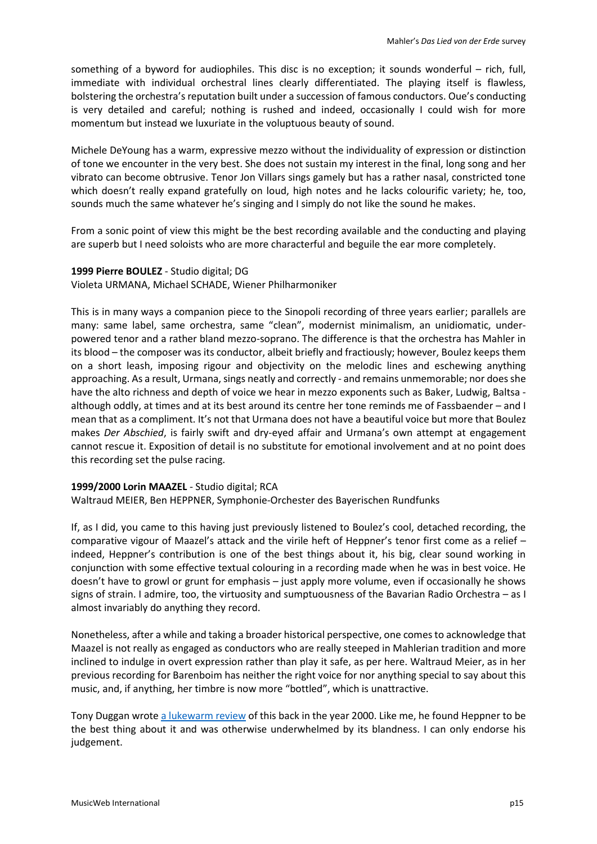something of a byword for audiophiles. This disc is no exception; it sounds wonderful – rich, full, immediate with individual orchestral lines clearly differentiated. The playing itself is flawless, bolstering the orchestra's reputation built under a succession of famous conductors. Oue's conducting is very detailed and careful; nothing is rushed and indeed, occasionally I could wish for more momentum but instead we luxuriate in the voluptuous beauty of sound.

Michele DeYoung has a warm, expressive mezzo without the individuality of expression or distinction of tone we encounter in the very best. She does not sustain my interest in the final, long song and her vibrato can become obtrusive. Tenor Jon Villars sings gamely but has a rather nasal, constricted tone which doesn't really expand gratefully on loud, high notes and he lacks colourific variety; he, too, sounds much the same whatever he's singing and I simply do not like the sound he makes.

From a sonic point of view this might be the best recording available and the conducting and playing are superb but I need soloists who are more characterful and beguile the ear more completely.

**1999 Pierre BOULEZ** - Studio digital; DG Violeta URMANA, Michael SCHADE, Wiener Philharmoniker

This is in many ways a companion piece to the Sinopoli recording of three years earlier; parallels are many: same label, same orchestra, same "clean", modernist minimalism, an unidiomatic, underpowered tenor and a rather bland mezzo-soprano. The difference is that the orchestra has Mahler in its blood – the composer was its conductor, albeit briefly and fractiously; however, Boulez keeps them on a short leash, imposing rigour and objectivity on the melodic lines and eschewing anything approaching. As a result, Urmana, sings neatly and correctly - and remains unmemorable; nor does she have the alto richness and depth of voice we hear in mezzo exponents such as Baker, Ludwig, Baltsa although oddly, at times and at its best around its centre her tone reminds me of Fassbaender – and I mean that as a compliment. It's not that Urmana does not have a beautiful voice but more that Boulez makes *Der Abschied*, is fairly swift and dry-eyed affair and Urmana's own attempt at engagement cannot rescue it. Exposition of detail is no substitute for emotional involvement and at no point does this recording set the pulse racing.

## **1999/2000 Lorin MAAZEL** - Studio digital; RCA

Waltraud MEIER, Ben HEPPNER, Symphonie-Orchester des Bayerischen Rundfunks

If, as I did, you came to this having just previously listened to Boulez's cool, detached recording, the comparative vigour of Maazel's attack and the virile heft of Heppner's tenor first come as a relief – indeed, Heppner's contribution is one of the best things about it, his big, clear sound working in conjunction with some effective textual colouring in a recording made when he was in best voice. He doesn't have to growl or grunt for emphasis – just apply more volume, even if occasionally he shows signs of strain. I admire, too, the virtuosity and sumptuousness of the Bavarian Radio Orchestra – as I almost invariably do anything they record.

Nonetheless, after a while and taking a broader historical perspective, one comes to acknowledge that Maazel is not really as engaged as conductors who are really steeped in Mahlerian tradition and more inclined to indulge in overt expression rather than play it safe, as per here. Waltraud Meier, as in her previous recording for Barenboim has neither the right voice for nor anything special to say about this music, and, if anything, her timbre is now more "bottled", which is unattractive.

Tony Duggan wrot[e a lukewarm review](http://www.musicweb-international.com/classrev/2000/aug00/daslied.htm) of this back in the year 2000. Like me, he found Heppner to be the best thing about it and was otherwise underwhelmed by its blandness. I can only endorse his judgement.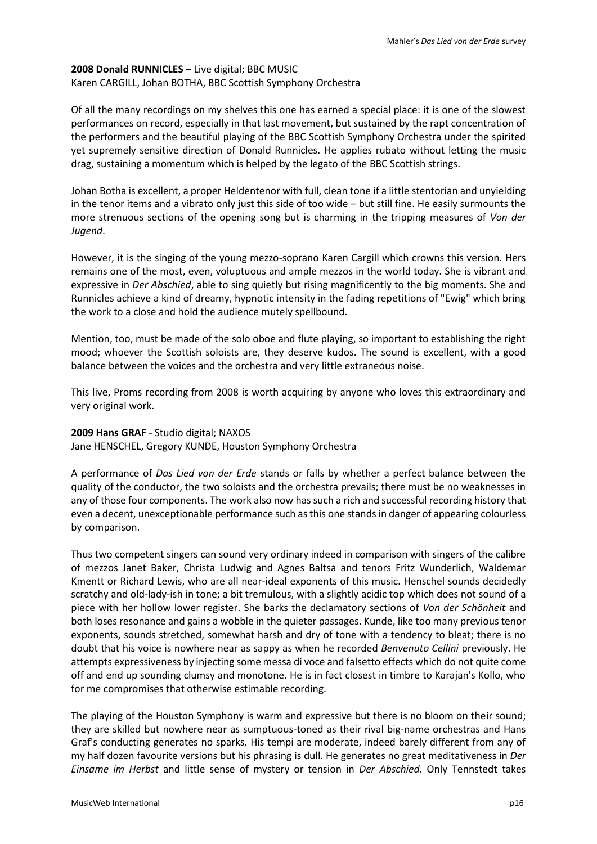## **2008 Donald RUNNICLES** – Live digital; BBC MUSIC Karen CARGILL, Johan BOTHA, BBC Scottish Symphony Orchestra

Of all the many recordings on my shelves this one has earned a special place: it is one of the slowest performances on record, especially in that last movement, but sustained by the rapt concentration of the performers and the beautiful playing of the BBC Scottish Symphony Orchestra under the spirited yet supremely sensitive direction of Donald Runnicles. He applies rubato without letting the music drag, sustaining a momentum which is helped by the legato of the BBC Scottish strings.

Johan Botha is excellent, a proper Heldentenor with full, clean tone if a little stentorian and unyielding in the tenor items and a vibrato only just this side of too wide – but still fine. He easily surmounts the more strenuous sections of the opening song but is charming in the tripping measures of *Von der Jugend*.

However, it is the singing of the young mezzo-soprano Karen Cargill which crowns this version. Hers remains one of the most, even, voluptuous and ample mezzos in the world today. She is vibrant and expressive in *Der Abschied*, able to sing quietly but rising magnificently to the big moments. She and Runnicles achieve a kind of dreamy, hypnotic intensity in the fading repetitions of "Ewig" which bring the work to a close and hold the audience mutely spellbound.

Mention, too, must be made of the solo oboe and flute playing, so important to establishing the right mood; whoever the Scottish soloists are, they deserve kudos. The sound is excellent, with a good balance between the voices and the orchestra and very little extraneous noise.

This live, Proms recording from 2008 is worth acquiring by anyone who loves this extraordinary and very original work.

## **2009 Hans GRAF** - Studio digital; NAXOS

Jane HENSCHEL, Gregory KUNDE, Houston Symphony Orchestra

A performance of *Das Lied von der Erde* stands or falls by whether a perfect balance between the quality of the conductor, the two soloists and the orchestra prevails; there must be no weaknesses in any of those four components. The work also now has such a rich and successful recording history that even a decent, unexceptionable performance such as this one stands in danger of appearing colourless by comparison.

Thus two competent singers can sound very ordinary indeed in comparison with singers of the calibre of mezzos Janet Baker, Christa Ludwig and Agnes Baltsa and tenors Fritz Wunderlich, Waldemar Kmentt or Richard Lewis, who are all near-ideal exponents of this music. Henschel sounds decidedly scratchy and old-lady-ish in tone; a bit tremulous, with a slightly acidic top which does not sound of a piece with her hollow lower register. She barks the declamatory sections of *Von der Schönheit* and both loses resonance and gains a wobble in the quieter passages. Kunde, like too many previous tenor exponents, sounds stretched, somewhat harsh and dry of tone with a tendency to bleat; there is no doubt that his voice is nowhere near as sappy as when he recorded *Benvenuto Cellini* previously. He attempts expressiveness by injecting some messa di voce and falsetto effects which do not quite come off and end up sounding clumsy and monotone. He is in fact closest in timbre to Karajan's Kollo, who for me compromises that otherwise estimable recording.

The playing of the Houston Symphony is warm and expressive but there is no bloom on their sound; they are skilled but nowhere near as sumptuous-toned as their rival big-name orchestras and Hans Graf's conducting generates no sparks. His tempi are moderate, indeed barely different from any of my half dozen favourite versions but his phrasing is dull. He generates no great meditativeness in *Der Einsame im Herbst* and little sense of mystery or tension in *Der Abschied*. Only Tennstedt takes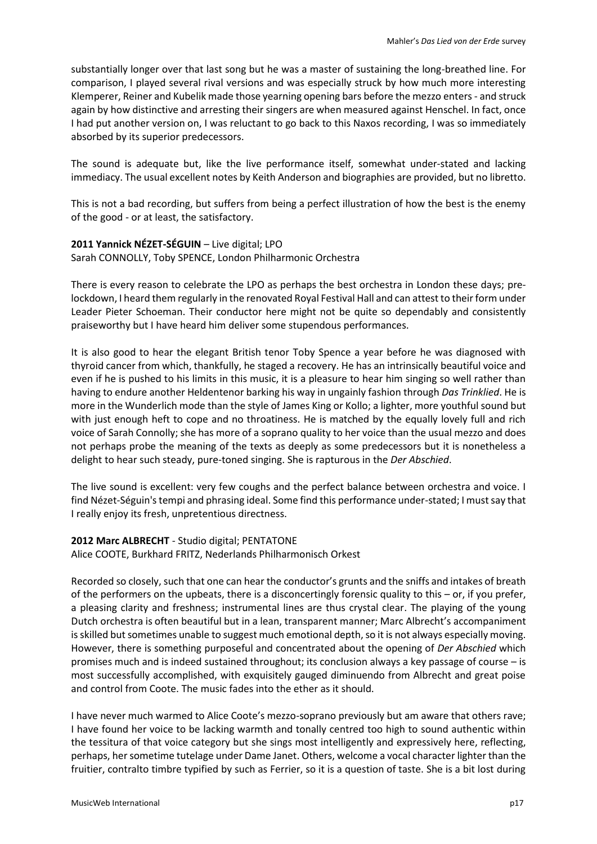substantially longer over that last song but he was a master of sustaining the long-breathed line. For comparison, I played several rival versions and was especially struck by how much more interesting Klemperer, Reiner and Kubelik made those yearning opening bars before the mezzo enters - and struck again by how distinctive and arresting their singers are when measured against Henschel. In fact, once I had put another version on, I was reluctant to go back to this Naxos recording, I was so immediately absorbed by its superior predecessors.

The sound is adequate but, like the live performance itself, somewhat under-stated and lacking immediacy. The usual excellent notes by Keith Anderson and biographies are provided, but no libretto.

This is not a bad recording, but suffers from being a perfect illustration of how the best is the enemy of the good - or at least, the satisfactory.

## **2011 Yannick NÉZET-SÉGUIN** – Live digital; LPO

Sarah CONNOLLY, Toby SPENCE, London Philharmonic Orchestra

There is every reason to celebrate the LPO as perhaps the best orchestra in London these days; prelockdown, I heard them regularly in the renovated Royal Festival Hall and can attest to their form under Leader Pieter Schoeman. Their conductor here might not be quite so dependably and consistently praiseworthy but I have heard him deliver some stupendous performances.

It is also good to hear the elegant British tenor Toby Spence a year before he was diagnosed with thyroid cancer from which, thankfully, he staged a recovery. He has an intrinsically beautiful voice and even if he is pushed to his limits in this music, it is a pleasure to hear him singing so well rather than having to endure another Heldentenor barking his way in ungainly fashion through *Das Trinklied*. He is more in the Wunderlich mode than the style of James King or Kollo; a lighter, more youthful sound but with just enough heft to cope and no throatiness. He is matched by the equally lovely full and rich voice of Sarah Connolly; she has more of a soprano quality to her voice than the usual mezzo and does not perhaps probe the meaning of the texts as deeply as some predecessors but it is nonetheless a delight to hear such steady, pure-toned singing. She is rapturous in the *Der Abschied*.

The live sound is excellent: very few coughs and the perfect balance between orchestra and voice. I find Nézet-Séguin's tempi and phrasing ideal. Some find this performance under-stated; I must say that I really enjoy its fresh, unpretentious directness.

## **2012 Marc ALBRECHT** - Studio digital; PENTATONE

Alice COOTE, Burkhard FRITZ, Nederlands Philharmonisch Orkest

Recorded so closely, such that one can hear the conductor's grunts and the sniffs and intakes of breath of the performers on the upbeats, there is a disconcertingly forensic quality to this – or, if you prefer, a pleasing clarity and freshness; instrumental lines are thus crystal clear. The playing of the young Dutch orchestra is often beautiful but in a lean, transparent manner; Marc Albrecht's accompaniment is skilled but sometimes unable to suggest much emotional depth, so it is not always especially moving. However, there is something purposeful and concentrated about the opening of *Der Abschied* which promises much and is indeed sustained throughout; its conclusion always a key passage of course – is most successfully accomplished, with exquisitely gauged diminuendo from Albrecht and great poise and control from Coote. The music fades into the ether as it should.

I have never much warmed to Alice Coote's mezzo-soprano previously but am aware that others rave; I have found her voice to be lacking warmth and tonally centred too high to sound authentic within the tessitura of that voice category but she sings most intelligently and expressively here, reflecting, perhaps, her sometime tutelage under Dame Janet. Others, welcome a vocal character lighter than the fruitier, contralto timbre typified by such as Ferrier, so it is a question of taste. She is a bit lost during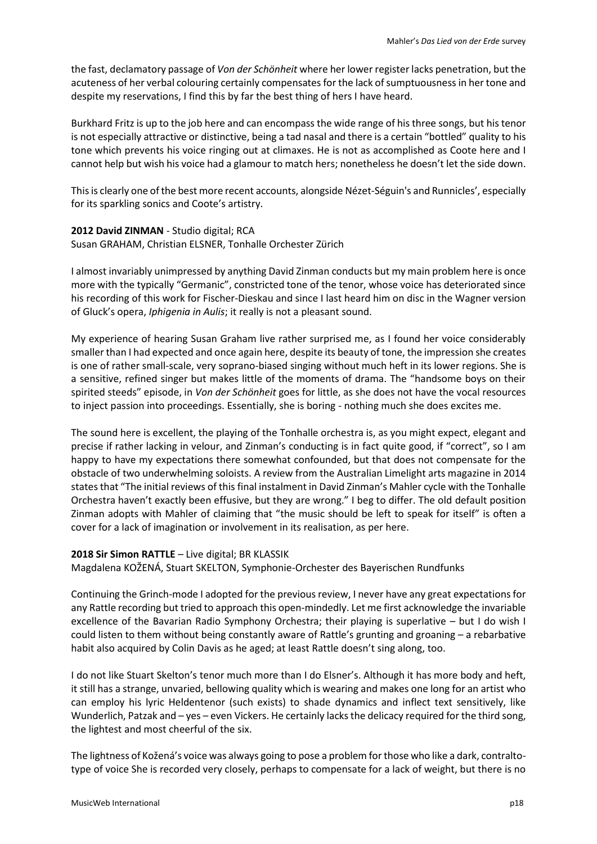the fast, declamatory passage of *Von der Schönheit* where her lower register lacks penetration, but the acuteness of her verbal colouring certainly compensates for the lack of sumptuousness in her tone and despite my reservations, I find this by far the best thing of hers I have heard.

Burkhard Fritz is up to the job here and can encompass the wide range of his three songs, but his tenor is not especially attractive or distinctive, being a tad nasal and there is a certain "bottled" quality to his tone which prevents his voice ringing out at climaxes. He is not as accomplished as Coote here and I cannot help but wish his voice had a glamour to match hers; nonetheless he doesn't let the side down.

This is clearly one of the best more recent accounts, alongside Nézet-Séguin's and Runnicles', especially for its sparkling sonics and Coote's artistry.

# **2012 David ZINMAN** - Studio digital; RCA

Susan GRAHAM, Christian ELSNER, Tonhalle Orchester Zürich

I almost invariably unimpressed by anything David Zinman conducts but my main problem here is once more with the typically "Germanic", constricted tone of the tenor, whose voice has deteriorated since his recording of this work for Fischer-Dieskau and since I last heard him on disc in the Wagner version of Gluck's opera, *Iphigenia in Aulis*; it really is not a pleasant sound.

My experience of hearing Susan Graham live rather surprised me, as I found her voice considerably smaller than I had expected and once again here, despite its beauty of tone, the impression she creates is one of rather small-scale, very soprano-biased singing without much heft in its lower regions. She is a sensitive, refined singer but makes little of the moments of drama. The "handsome boys on their spirited steeds" episode, in *Von der Schönheit* goes for little, as she does not have the vocal resources to inject passion into proceedings. Essentially, she is boring - nothing much she does excites me.

The sound here is excellent, the playing of the Tonhalle orchestra is, as you might expect, elegant and precise if rather lacking in velour, and Zinman's conducting is in fact quite good, if "correct", so I am happy to have my expectations there somewhat confounded, but that does not compensate for the obstacle of two underwhelming soloists. A review from the Australian Limelight arts magazine in 2014 states that "The initial reviews of this final instalment in David Zinman's Mahler cycle with the Tonhalle Orchestra haven't exactly been effusive, but they are wrong." I beg to differ. The old default position Zinman adopts with Mahler of claiming that "the music should be left to speak for itself" is often a cover for a lack of imagination or involvement in its realisation, as per here.

## **2018 Sir Simon RATTLE** – Live digital; BR KLASSIK

Magdalena KOŽENÁ, Stuart SKELTON, Symphonie-Orchester des Bayerischen Rundfunks

Continuing the Grinch-mode I adopted for the previous review, I never have any great expectations for any Rattle recording but tried to approach this open-mindedly. Let me first acknowledge the invariable excellence of the Bavarian Radio Symphony Orchestra; their playing is superlative – but I do wish I could listen to them without being constantly aware of Rattle's grunting and groaning – a rebarbative habit also acquired by Colin Davis as he aged; at least Rattle doesn't sing along, too.

I do not like Stuart Skelton's tenor much more than I do Elsner's. Although it has more body and heft, it still has a strange, unvaried, bellowing quality which is wearing and makes one long for an artist who can employ his lyric Heldentenor (such exists) to shade dynamics and inflect text sensitively, like Wunderlich, Patzak and – yes – even Vickers. He certainly lacks the delicacy required for the third song, the lightest and most cheerful of the six.

The lightness of Kožená's voice was always going to pose a problem for those who like a dark, contraltotype of voice She is recorded very closely, perhaps to compensate for a lack of weight, but there is no